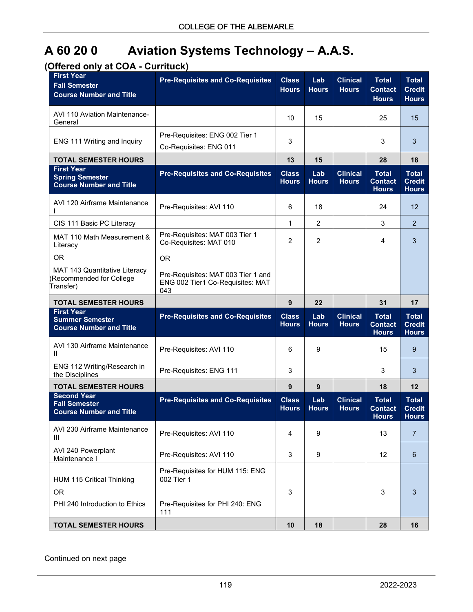## **A 60 20 0 Aviation Systems Technology – A.A.S.**

## **(Offered only at COA - Currituck)**

| <b>First Year</b><br><b>Fall Semester</b><br><b>Course Number and Title</b>           | <b>Pre-Requisites and Co-Requisites</b>                                                 | <b>Class</b><br><b>Hours</b> | Lab<br><b>Hours</b> | <b>Clinical</b><br><b>Hours</b> | <b>Total</b><br><b>Contact</b><br><b>Hours</b> | <b>Total</b><br><b>Credit</b><br><b>Hours</b> |
|---------------------------------------------------------------------------------------|-----------------------------------------------------------------------------------------|------------------------------|---------------------|---------------------------------|------------------------------------------------|-----------------------------------------------|
| <b>AVI 110 Aviation Maintenance-</b><br>General                                       |                                                                                         | 10                           | 15                  |                                 | 25                                             | 15                                            |
| ENG 111 Writing and Inquiry                                                           | Pre-Requisites: ENG 002 Tier 1<br>Co-Requisites: ENG 011                                | 3                            |                     |                                 | 3                                              | 3                                             |
| <b>TOTAL SEMESTER HOURS</b>                                                           |                                                                                         | 13                           | 15                  |                                 | 28                                             | 18                                            |
| <b>First Year</b><br><b>Spring Semester</b><br><b>Course Number and Title</b>         | <b>Pre-Requisites and Co-Requisites</b>                                                 | <b>Class</b><br><b>Hours</b> | Lab<br><b>Hours</b> | <b>Clinical</b><br><b>Hours</b> | <b>Total</b><br><b>Contact</b><br><b>Hours</b> | <b>Total</b><br><b>Credit</b><br><b>Hours</b> |
| AVI 120 Airframe Maintenance                                                          | Pre-Requisites: AVI 110                                                                 | 6                            | 18                  |                                 | 24                                             | 12                                            |
| CIS 111 Basic PC Literacy                                                             |                                                                                         | 1                            | $\overline{2}$      |                                 | 3                                              | $\overline{2}$                                |
| MAT 110 Math Measurement &<br>Literacy                                                | Pre-Requisites: MAT 003 Tier 1<br>Co-Requisites: MAT 010                                | $\overline{2}$               | $\overline{2}$      |                                 | 4                                              | 3                                             |
| OR.                                                                                   | <b>OR</b>                                                                               |                              |                     |                                 |                                                |                                               |
| MAT 143 Quantitative Literacy<br>Recommended for College<br>Transfer)                 | Pre-Requisites: MAT 003 Tier 1 and<br>ENG 002 Tier1 Co-Requisites: MAT<br>043           |                              |                     |                                 |                                                |                                               |
| <b>TOTAL SEMESTER HOURS</b>                                                           |                                                                                         | 9                            | 22                  |                                 | 31                                             | 17                                            |
| <b>First Year</b><br><b>Summer Semester</b><br><b>Course Number and Title</b>         | <b>Pre-Requisites and Co-Requisites</b>                                                 | <b>Class</b><br><b>Hours</b> | Lab<br><b>Hours</b> | <b>Clinical</b><br><b>Hours</b> | <b>Total</b><br><b>Contact</b><br><b>Hours</b> | <b>Total</b><br><b>Credit</b><br><b>Hours</b> |
| AVI 130 Airframe Maintenance                                                          |                                                                                         |                              |                     |                                 |                                                |                                               |
| Ш                                                                                     | Pre-Requisites: AVI 110                                                                 | 6                            | 9                   |                                 | 15                                             | 9                                             |
| ENG 112 Writing/Research in<br>the Disciplines                                        | Pre-Requisites: ENG 111                                                                 | 3                            |                     |                                 | 3                                              | 3                                             |
| <b>TOTAL SEMESTER HOURS</b>                                                           |                                                                                         | 9                            | 9                   |                                 | 18                                             | 12                                            |
| <b>Second Year</b><br><b>Fall Semester</b><br><b>Course Number and Title</b>          | <b>Pre-Requisites and Co-Requisites</b>                                                 | <b>Class</b><br><b>Hours</b> | Lab<br><b>Hours</b> | <b>Clinical</b><br><b>Hours</b> | <b>Total</b><br><b>Contact</b><br><b>Hours</b> | <b>Total</b><br><b>Credit</b><br><b>Hours</b> |
| AVI 230 Airframe Maintenance<br>Ш                                                     | Pre-Requisites: AVI 110                                                                 | 4                            | 9                   |                                 | 13                                             | 7                                             |
| AVI 240 Powerplant<br>Maintenance I                                                   | Pre-Requisites: AVI 110                                                                 | 3                            | 9                   |                                 | 12                                             | 6                                             |
| <b>HUM 115 Critical Thinking</b><br>OR <sub>1</sub><br>PHI 240 Introduction to Ethics | Pre-Requisites for HUM 115: ENG<br>002 Tier 1<br>Pre-Requisites for PHI 240: ENG<br>111 | 3                            |                     |                                 | 3                                              | 3                                             |

Continued on next page